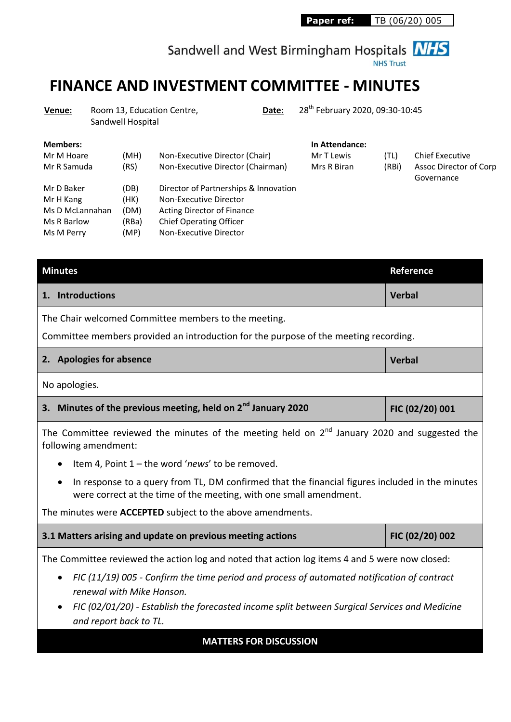Sandwell and West Birmingham Hospitals **NHS** 

# **FINANCE AND INVESTMENT COMMITTEE - MINUTES**

| Venue:                                                                  | 28 <sup>th</sup> February 2020, 09:30-10:45<br>Room 13, Education Centre,<br>Date:<br>Sandwell Hospital |                                       |                                                                                                                                                           |                                             |               |                                                                |
|-------------------------------------------------------------------------|---------------------------------------------------------------------------------------------------------|---------------------------------------|-----------------------------------------------------------------------------------------------------------------------------------------------------------|---------------------------------------------|---------------|----------------------------------------------------------------|
| <b>Members:</b><br>Mr M Hoare<br>Mr R Samuda                            |                                                                                                         | (MH)<br>(RS)                          | Non-Executive Director (Chair)<br>Non-Executive Director (Chairman)                                                                                       | In Attendance:<br>Mr T Lewis<br>Mrs R Biran | (TL)<br>(RBi) | <b>Chief Executive</b><br>Assoc Director of Corp<br>Governance |
| Mr D Baker<br>Mr H Kang<br>Ms D McLannahan<br>Ms R Barlow<br>Ms M Perry |                                                                                                         | (DB)<br>(HK)<br>(DM)<br>(RBa)<br>(MP) | Director of Partnerships & Innovation<br>Non-Executive Director<br>Acting Director of Finance<br><b>Chief Operating Officer</b><br>Non-Executive Director |                                             |               |                                                                |

| <b>Minutes</b>                                                                                                                                                        | <b>Reference</b> |  |  |  |  |  |  |
|-----------------------------------------------------------------------------------------------------------------------------------------------------------------------|------------------|--|--|--|--|--|--|
| 1. Introductions                                                                                                                                                      | <b>Verbal</b>    |  |  |  |  |  |  |
| The Chair welcomed Committee members to the meeting.                                                                                                                  |                  |  |  |  |  |  |  |
| Committee members provided an introduction for the purpose of the meeting recording.                                                                                  |                  |  |  |  |  |  |  |
| 2. Apologies for absence                                                                                                                                              | <b>Verbal</b>    |  |  |  |  |  |  |
| No apologies.                                                                                                                                                         |                  |  |  |  |  |  |  |
| 3. Minutes of the previous meeting, held on 2 <sup>nd</sup> January 2020                                                                                              | FIC (02/20) 001  |  |  |  |  |  |  |
| The Committee reviewed the minutes of the meeting held on $2^{nd}$ January 2020 and suggested the<br>following amendment:                                             |                  |  |  |  |  |  |  |
| Item 4, Point 1 - the word 'news' to be removed.                                                                                                                      |                  |  |  |  |  |  |  |
| In response to a query from TL, DM confirmed that the financial figures included in the minutes<br>were correct at the time of the meeting, with one small amendment. |                  |  |  |  |  |  |  |
| The minutes were <b>ACCEPTED</b> subject to the above amendments.                                                                                                     |                  |  |  |  |  |  |  |
| 3.1 Matters arising and update on previous meeting actions                                                                                                            | FIC (02/20) 002  |  |  |  |  |  |  |
| The Committee reviewed the action log and noted that action log items 4 and 5 were now closed:                                                                        |                  |  |  |  |  |  |  |
| FIC (11/19) 005 - Confirm the time period and process of automated notification of contract<br>$\bullet$                                                              |                  |  |  |  |  |  |  |
| renewal with Mike Hanson.                                                                                                                                             |                  |  |  |  |  |  |  |
| FIC (02/01/20) - Establish the forecasted income split between Surgical Services and Medicine<br>and report back to TL.                                               |                  |  |  |  |  |  |  |

### **MATTERS FOR DISCUSSION**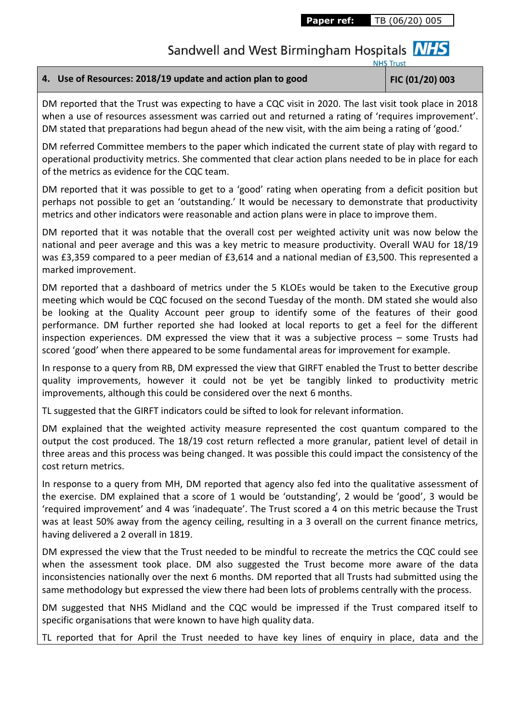Sandwell and West Birmingham Hospitals **NHS** 

**NHS Trust** 

### **4. Use of Resources: 2018/19 update and action plan to good FIC (01/20) 003**

DM reported that the Trust was expecting to have a CQC visit in 2020. The last visit took place in 2018 when a use of resources assessment was carried out and returned a rating of 'requires improvement'. DM stated that preparations had begun ahead of the new visit, with the aim being a rating of 'good.'

DM referred Committee members to the paper which indicated the current state of play with regard to operational productivity metrics. She commented that clear action plans needed to be in place for each of the metrics as evidence for the CQC team.

DM reported that it was possible to get to a 'good' rating when operating from a deficit position but perhaps not possible to get an 'outstanding.' It would be necessary to demonstrate that productivity metrics and other indicators were reasonable and action plans were in place to improve them.

DM reported that it was notable that the overall cost per weighted activity unit was now below the national and peer average and this was a key metric to measure productivity. Overall WAU for 18/19 was £3,359 compared to a peer median of £3,614 and a national median of £3,500. This represented a marked improvement.

DM reported that a dashboard of metrics under the 5 KLOEs would be taken to the Executive group meeting which would be CQC focused on the second Tuesday of the month. DM stated she would also be looking at the Quality Account peer group to identify some of the features of their good performance. DM further reported she had looked at local reports to get a feel for the different inspection experiences. DM expressed the view that it was a subjective process – some Trusts had scored 'good' when there appeared to be some fundamental areas for improvement for example.

In response to a query from RB, DM expressed the view that GIRFT enabled the Trust to better describe quality improvements, however it could not be yet be tangibly linked to productivity metric improvements, although this could be considered over the next 6 months.

TL suggested that the GIRFT indicators could be sifted to look for relevant information.

DM explained that the weighted activity measure represented the cost quantum compared to the output the cost produced. The 18/19 cost return reflected a more granular, patient level of detail in three areas and this process was being changed. It was possible this could impact the consistency of the cost return metrics.

In response to a query from MH, DM reported that agency also fed into the qualitative assessment of the exercise. DM explained that a score of 1 would be 'outstanding', 2 would be 'good', 3 would be 'required improvement' and 4 was 'inadequate'. The Trust scored a 4 on this metric because the Trust was at least 50% away from the agency ceiling, resulting in a 3 overall on the current finance metrics, having delivered a 2 overall in 1819.

DM expressed the view that the Trust needed to be mindful to recreate the metrics the CQC could see when the assessment took place. DM also suggested the Trust become more aware of the data inconsistencies nationally over the next 6 months. DM reported that all Trusts had submitted using the same methodology but expressed the view there had been lots of problems centrally with the process.

DM suggested that NHS Midland and the CQC would be impressed if the Trust compared itself to specific organisations that were known to have high quality data.

TL reported that for April the Trust needed to have key lines of enquiry in place, data and the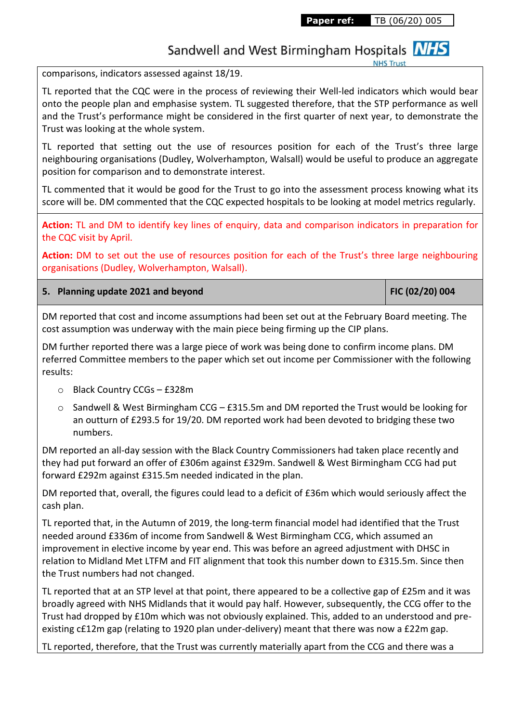Sandwell and West Birmingham Hospitals **NHS** 

**NHS Trus** 

comparisons, indicators assessed against 18/19.

TL reported that the CQC were in the process of reviewing their Well-led indicators which would bear onto the people plan and emphasise system. TL suggested therefore, that the STP performance as well and the Trust's performance might be considered in the first quarter of next year, to demonstrate the Trust was looking at the whole system.

TL reported that setting out the use of resources position for each of the Trust's three large neighbouring organisations (Dudley, Wolverhampton, Walsall) would be useful to produce an aggregate position for comparison and to demonstrate interest.

TL commented that it would be good for the Trust to go into the assessment process knowing what its score will be. DM commented that the CQC expected hospitals to be looking at model metrics regularly.

**Action:** TL and DM to identify key lines of enquiry, data and comparison indicators in preparation for the CQC visit by April.

**Action:** DM to set out the use of resources position for each of the Trust's three large neighbouring organisations (Dudley, Wolverhampton, Walsall).

**5. Planning update 2021 and beyond FIC (02/20) 004**

DM reported that cost and income assumptions had been set out at the February Board meeting. The cost assumption was underway with the main piece being firming up the CIP plans.

DM further reported there was a large piece of work was being done to confirm income plans. DM referred Committee members to the paper which set out income per Commissioner with the following results:

- o Black Country CCGs £328m
- o Sandwell & West Birmingham CCG £315.5m and DM reported the Trust would be looking for an outturn of £293.5 for 19/20. DM reported work had been devoted to bridging these two numbers.

DM reported an all-day session with the Black Country Commissioners had taken place recently and they had put forward an offer of £306m against £329m. Sandwell & West Birmingham CCG had put forward £292m against £315.5m needed indicated in the plan.

DM reported that, overall, the figures could lead to a deficit of £36m which would seriously affect the cash plan.

TL reported that, in the Autumn of 2019, the long-term financial model had identified that the Trust needed around £336m of income from Sandwell & West Birmingham CCG, which assumed an improvement in elective income by year end. This was before an agreed adjustment with DHSC in relation to Midland Met LTFM and FIT alignment that took this number down to £315.5m. Since then the Trust numbers had not changed.

TL reported that at an STP level at that point, there appeared to be a collective gap of £25m and it was broadly agreed with NHS Midlands that it would pay half. However, subsequently, the CCG offer to the Trust had dropped by £10m which was not obviously explained. This, added to an understood and preexisting c£12m gap (relating to 1920 plan under-delivery) meant that there was now a £22m gap.

TL reported, therefore, that the Trust was currently materially apart from the CCG and there was a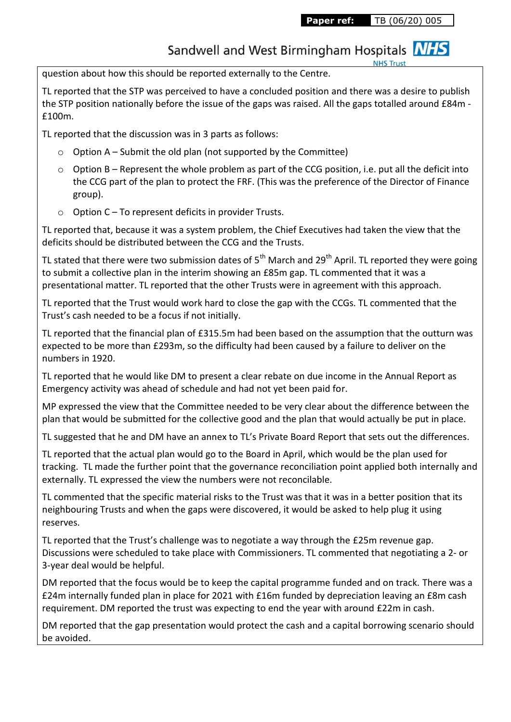### Sandwell and West Birmingham Hospitals **NHS**

question about how this should be reported externally to the Centre.

TL reported that the STP was perceived to have a concluded position and there was a desire to publish the STP position nationally before the issue of the gaps was raised. All the gaps totalled around £84m - £100m.

TL reported that the discussion was in 3 parts as follows:

- $\circ$  Option A Submit the old plan (not supported by the Committee)
- o Option B Represent the whole problem as part of the CCG position, i.e. put all the deficit into the CCG part of the plan to protect the FRF. (This was the preference of the Director of Finance group).
- o Option C To represent deficits in provider Trusts.

TL reported that, because it was a system problem, the Chief Executives had taken the view that the deficits should be distributed between the CCG and the Trusts.

TL stated that there were two submission dates of  $5<sup>th</sup>$  March and 29<sup>th</sup> April. TL reported they were going to submit a collective plan in the interim showing an £85m gap. TL commented that it was a presentational matter. TL reported that the other Trusts were in agreement with this approach.

TL reported that the Trust would work hard to close the gap with the CCGs. TL commented that the Trust's cash needed to be a focus if not initially.

TL reported that the financial plan of £315.5m had been based on the assumption that the outturn was expected to be more than £293m, so the difficulty had been caused by a failure to deliver on the numbers in 1920.

TL reported that he would like DM to present a clear rebate on due income in the Annual Report as Emergency activity was ahead of schedule and had not yet been paid for.

MP expressed the view that the Committee needed to be very clear about the difference between the plan that would be submitted for the collective good and the plan that would actually be put in place.

TL suggested that he and DM have an annex to TL's Private Board Report that sets out the differences.

TL reported that the actual plan would go to the Board in April, which would be the plan used for tracking. TL made the further point that the governance reconciliation point applied both internally and externally. TL expressed the view the numbers were not reconcilable.

TL commented that the specific material risks to the Trust was that it was in a better position that its neighbouring Trusts and when the gaps were discovered, it would be asked to help plug it using reserves.

TL reported that the Trust's challenge was to negotiate a way through the £25m revenue gap. Discussions were scheduled to take place with Commissioners. TL commented that negotiating a 2- or 3-year deal would be helpful.

DM reported that the focus would be to keep the capital programme funded and on track. There was a £24m internally funded plan in place for 2021 with £16m funded by depreciation leaving an £8m cash requirement. DM reported the trust was expecting to end the year with around £22m in cash.

DM reported that the gap presentation would protect the cash and a capital borrowing scenario should be avoided.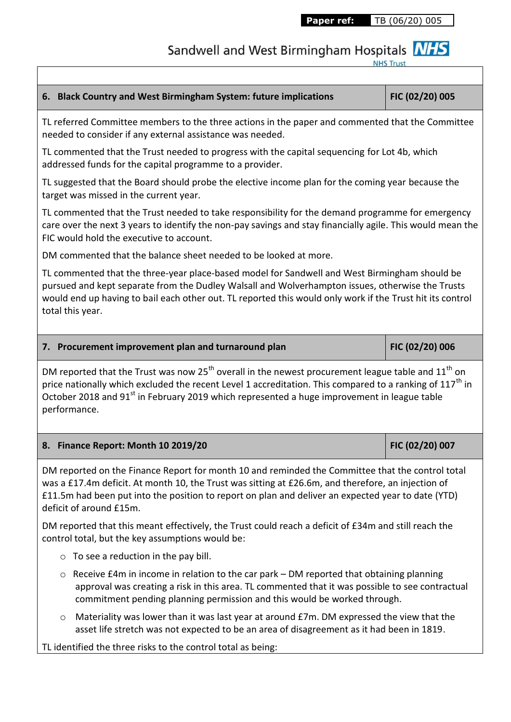Sandwell and West Birmingham Hospitals MHS

## **6. Black Country and West Birmingham System: future implications FIC (02/20) 005** TL referred Committee members to the three actions in the paper and commented that the Committee needed to consider if any external assistance was needed. TL commented that the Trust needed to progress with the capital sequencing for Lot 4b, which addressed funds for the capital programme to a provider. TL suggested that the Board should probe the elective income plan for the coming year because the target was missed in the current year. TL commented that the Trust needed to take responsibility for the demand programme for emergency care over the next 3 years to identify the non-pay savings and stay financially agile. This would mean the FIC would hold the executive to account. DM commented that the balance sheet needed to be looked at more. TL commented that the three-year place-based model for Sandwell and West Birmingham should be pursued and kept separate from the Dudley Walsall and Wolverhampton issues, otherwise the Trusts would end up having to bail each other out. TL reported this would only work if the Trust hit its control total this year. **7. Procurement improvement plan and turnaround plan FIC (02/20) 006** DM reported that the Trust was now 25<sup>th</sup> overall in the newest procurement league table and 11<sup>th</sup> on price nationally which excluded the recent Level 1 accreditation. This compared to a ranking of  $117<sup>th</sup>$  in October 2018 and 91<sup>st</sup> in February 2019 which represented a huge improvement in league table performance. **8. Finance Report: Month 10 2019/20 FIC (02/20) 007** DM reported on the Finance Report for month 10 and reminded the Committee that the control total was a £17.4m deficit. At month 10, the Trust was sitting at £26.6m, and therefore, an injection of £11.5m had been put into the position to report on plan and deliver an expected year to date (YTD) deficit of around £15m. DM reported that this meant effectively, the Trust could reach a deficit of £34m and still reach the control total, but the key assumptions would be:  $\circ$  To see a reduction in the pay bill.  $\circ$  Receive £4m in income in relation to the car park – DM reported that obtaining planning approval was creating a risk in this area. TL commented that it was possible to see contractual commitment pending planning permission and this would be worked through.  $\circ$  Materiality was lower than it was last year at around £7m. DM expressed the view that the asset life stretch was not expected to be an area of disagreement as it had been in 1819.

TL identified the three risks to the control total as being: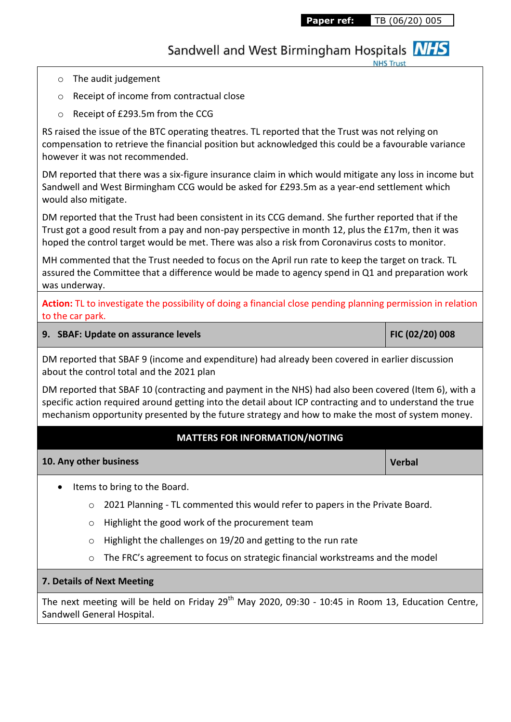Sandwell and West Birmingham Hospitals **NHS** 

- o The audit judgement
- o Receipt of income from contractual close
- o Receipt of £293.5m from the CCG

RS raised the issue of the BTC operating theatres. TL reported that the Trust was not relying on compensation to retrieve the financial position but acknowledged this could be a favourable variance however it was not recommended.

DM reported that there was a six-figure insurance claim in which would mitigate any loss in income but Sandwell and West Birmingham CCG would be asked for £293.5m as a year-end settlement which would also mitigate.

DM reported that the Trust had been consistent in its CCG demand. She further reported that if the Trust got a good result from a pay and non-pay perspective in month 12, plus the £17m, then it was hoped the control target would be met. There was also a risk from Coronavirus costs to monitor.

MH commented that the Trust needed to focus on the April run rate to keep the target on track. TL assured the Committee that a difference would be made to agency spend in Q1 and preparation work was underway.

**Action:** TL to investigate the possibility of doing a financial close pending planning permission in relation to the car park.

### **9. SBAF: Update on assurance levels FIC (02/20) 008**

DM reported that SBAF 9 (income and expenditure) had already been covered in earlier discussion about the control total and the 2021 plan

DM reported that SBAF 10 (contracting and payment in the NHS) had also been covered (Item 6), with a specific action required around getting into the detail about ICP contracting and to understand the true mechanism opportunity presented by the future strategy and how to make the most of system money.

### **MATTERS FOR INFORMATION/NOTING**

#### **10. Any other business Verbal**

- Items to bring to the Board.
	- o 2021 Planning TL commented this would refer to papers in the Private Board.
	- o Highlight the good work of the procurement team
	- o Highlight the challenges on 19/20 and getting to the run rate
	- o The FRC's agreement to focus on strategic financial workstreams and the model

#### **7. Details of Next Meeting**

The next meeting will be held on Friday 29<sup>th</sup> May 2020, 09:30 - 10:45 in Room 13, Education Centre, Sandwell General Hospital.